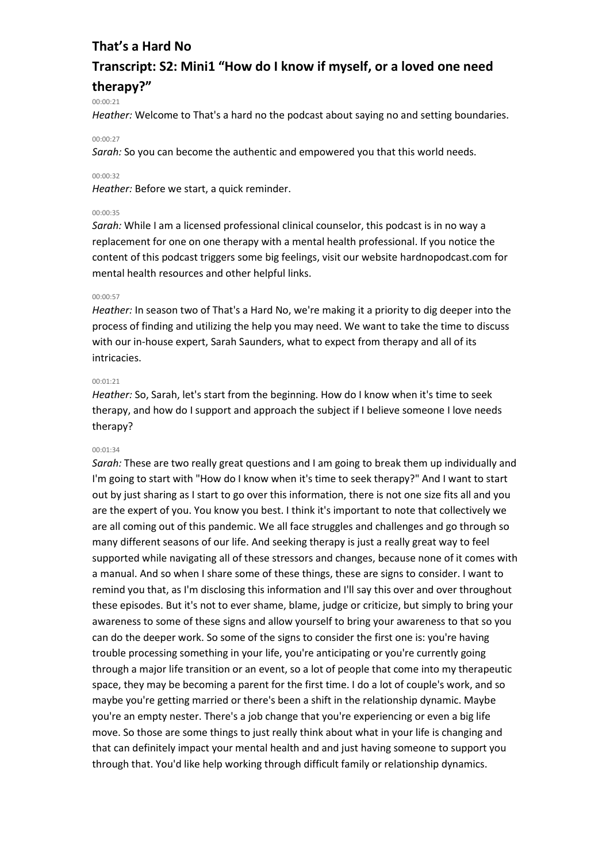# **Transcript: S2: Mini1 "How do I know if myself, or a loved one need therapy?"**

#### 00:00:21

*Heather:* Welcome to That's a hard no the podcast about saying no and setting boundaries.

#### 00:00:27

*Sarah:* So you can become the authentic and empowered you that this world needs.

### 00:00:32

*Heather:* Before we start, a quick reminder.

#### 00:00:35

*Sarah:* While I am a licensed professional clinical counselor, this podcast is in no way a replacement for one on one therapy with a mental health professional. If you notice the content of this podcast triggers some big feelings, visit our website hardnopodcast.com for mental health resources and other helpful links.

#### 00:00:57

*Heather:* In season two of That's a Hard No, we're making it a priority to dig deeper into the process of finding and utilizing the help you may need. We want to take the time to discuss with our in-house expert, Sarah Saunders, what to expect from therapy and all of its intricacies.

#### 00:01:21

*Heather:* So, Sarah, let's start from the beginning. How do I know when it's time to seek therapy, and how do I support and approach the subject if I believe someone I love needs therapy?

### 00:01:34

*Sarah:* These are two really great questions and I am going to break them up individually and I'm going to start with "How do I know when it's time to seek therapy?" And I want to start out by just sharing as I start to go over this information, there is not one size fits all and you are the expert of you. You know you best. I think it's important to note that collectively we are all coming out of this pandemic. We all face struggles and challenges and go through so many different seasons of our life. And seeking therapy is just a really great way to feel supported while navigating all of these stressors and changes, because none of it comes with a manual. And so when I share some of these things, these are signs to consider. I want to remind you that, as I'm disclosing this information and I'll say this over and over throughout these episodes. But it's not to ever shame, blame, judge or criticize, but simply to bring your awareness to some of these signs and allow yourself to bring your awareness to that so you can do the deeper work. So some of the signs to consider the first one is: you're having trouble processing something in your life, you're anticipating or you're currently going through a major life transition or an event, so a lot of people that come into my therapeutic space, they may be becoming a parent for the first time. I do a lot of couple's work, and so maybe you're getting married or there's been a shift in the relationship dynamic. Maybe you're an empty nester. There's a job change that you're experiencing or even a big life move. So those are some things to just really think about what in your life is changing and that can definitely impact your mental health and and just having someone to support you through that. You'd like help working through difficult family or relationship dynamics.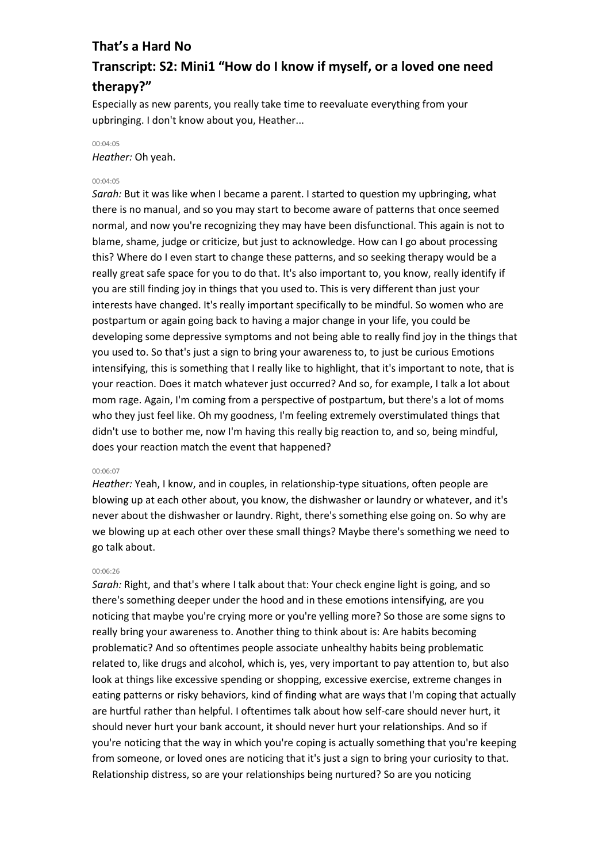# **Transcript: S2: Mini1 "How do I know if myself, or a loved one need therapy?"**

Especially as new parents, you really take time to reevaluate everything from your upbringing. I don't know about you, Heather...

## 00:04:05

*Heather:* Oh yeah.

## 00:04:05

*Sarah:* But it was like when I became a parent. I started to question my upbringing, what there is no manual, and so you may start to become aware of patterns that once seemed normal, and now you're recognizing they may have been disfunctional. This again is not to blame, shame, judge or criticize, but just to acknowledge. How can I go about processing this? Where do I even start to change these patterns, and so seeking therapy would be a really great safe space for you to do that. It's also important to, you know, really identify if you are still finding joy in things that you used to. This is very different than just your interests have changed. It's really important specifically to be mindful. So women who are postpartum or again going back to having a major change in your life, you could be developing some depressive symptoms and not being able to really find joy in the things that you used to. So that's just a sign to bring your awareness to, to just be curious Emotions intensifying, this is something that I really like to highlight, that it's important to note, that is your reaction. Does it match whatever just occurred? And so, for example, I talk a lot about mom rage. Again, I'm coming from a perspective of postpartum, but there's a lot of moms who they just feel like. Oh my goodness, I'm feeling extremely overstimulated things that didn't use to bother me, now I'm having this really big reaction to, and so, being mindful, does your reaction match the event that happened?

## 00:06:07

*Heather:* Yeah, I know, and in couples, in relationship-type situations, often people are blowing up at each other about, you know, the dishwasher or laundry or whatever, and it's never about the dishwasher or laundry. Right, there's something else going on. So why are we blowing up at each other over these small things? Maybe there's something we need to go talk about.

#### 00:06:26

*Sarah:* Right, and that's where I talk about that: Your check engine light is going, and so there's something deeper under the hood and in these emotions intensifying, are you noticing that maybe you're crying more or you're yelling more? So those are some signs to really bring your awareness to. Another thing to think about is: Are habits becoming problematic? And so oftentimes people associate unhealthy habits being problematic related to, like drugs and alcohol, which is, yes, very important to pay attention to, but also look at things like excessive spending or shopping, excessive exercise, extreme changes in eating patterns or risky behaviors, kind of finding what are ways that I'm coping that actually are hurtful rather than helpful. I oftentimes talk about how self-care should never hurt, it should never hurt your bank account, it should never hurt your relationships. And so if you're noticing that the way in which you're coping is actually something that you're keeping from someone, or loved ones are noticing that it's just a sign to bring your curiosity to that. Relationship distress, so are your relationships being nurtured? So are you noticing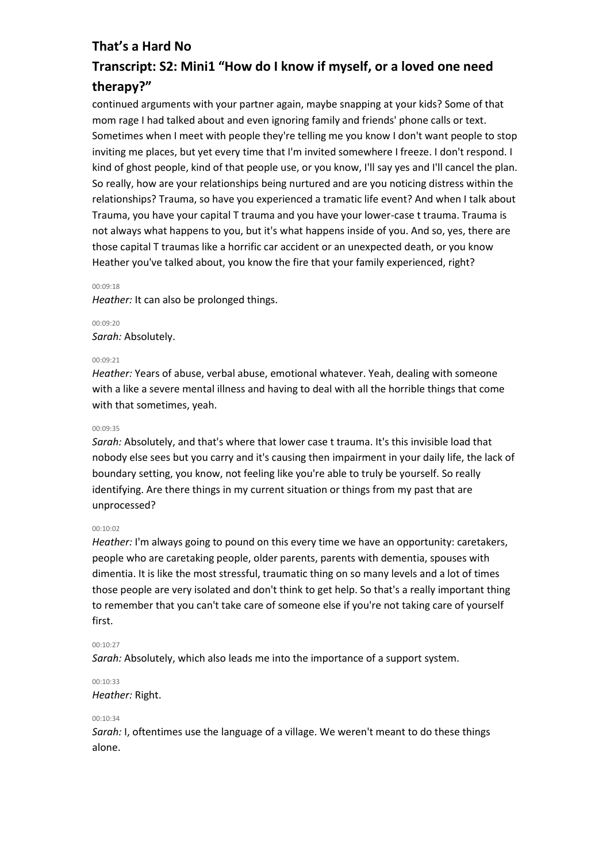# **Transcript: S2: Mini1 "How do I know if myself, or a loved one need therapy?"**

continued arguments with your partner again, maybe snapping at your kids? Some of that mom rage I had talked about and even ignoring family and friends' phone calls or text. Sometimes when I meet with people they're telling me you know I don't want people to stop inviting me places, but yet every time that I'm invited somewhere I freeze. I don't respond. I kind of ghost people, kind of that people use, or you know, I'll say yes and I'll cancel the plan. So really, how are your relationships being nurtured and are you noticing distress within the relationships? Trauma, so have you experienced a tramatic life event? And when I talk about Trauma, you have your capital T trauma and you have your lower-case t trauma. Trauma is not always what happens to you, but it's what happens inside of you. And so, yes, there are those capital T traumas like a horrific car accident or an unexpected death, or you know Heather you've talked about, you know the fire that your family experienced, right?

#### 00:09:18

*Heather:* It can also be prolonged things.

00:09:20 *Sarah:* Absolutely.

## 00:09:21

*Heather:* Years of abuse, verbal abuse, emotional whatever. Yeah, dealing with someone with a like a severe mental illness and having to deal with all the horrible things that come with that sometimes, yeah.

#### 00:09:35

*Sarah:* Absolutely, and that's where that lower case t trauma. It's this invisible load that nobody else sees but you carry and it's causing then impairment in your daily life, the lack of boundary setting, you know, not feeling like you're able to truly be yourself. So really identifying. Are there things in my current situation or things from my past that are unprocessed?

#### 00:10:02

*Heather:* I'm always going to pound on this every time we have an opportunity: caretakers, people who are caretaking people, older parents, parents with dementia, spouses with dimentia. It is like the most stressful, traumatic thing on so many levels and a lot of times those people are very isolated and don't think to get help. So that's a really important thing to remember that you can't take care of someone else if you're not taking care of yourself first.

## 00:10:27

*Sarah:* Absolutely, which also leads me into the importance of a support system.

## 00:10:33

*Heather:* Right.

### 00:10:34

*Sarah:* I, oftentimes use the language of a village. We weren't meant to do these things alone.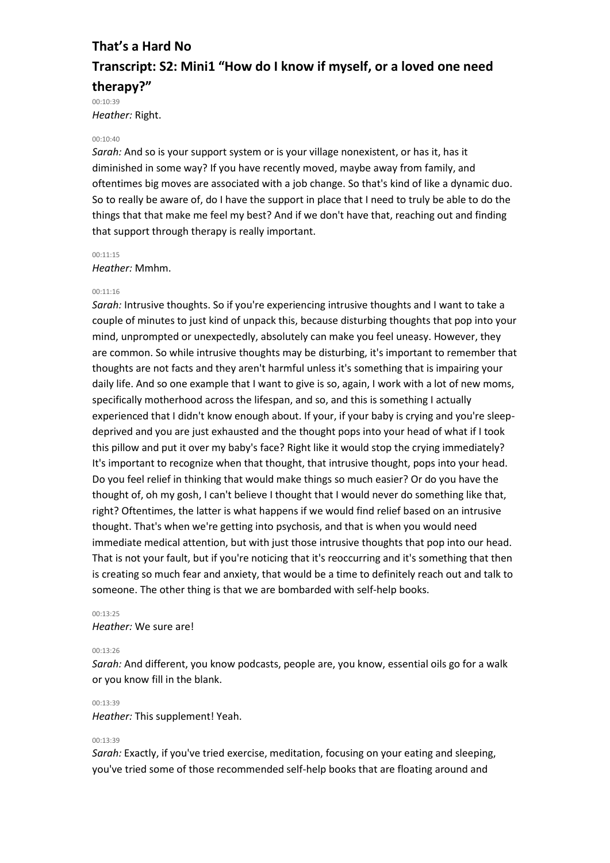# **That's a Hard No Transcript: S2: Mini1 "How do I know if myself, or a loved one need therapy?"** 00:10:39

*Heather:* Right.

#### 00:10:40

*Sarah:* And so is your support system or is your village nonexistent, or has it, has it diminished in some way? If you have recently moved, maybe away from family, and oftentimes big moves are associated with a job change. So that's kind of like a dynamic duo. So to really be aware of, do I have the support in place that I need to truly be able to do the things that that make me feel my best? And if we don't have that, reaching out and finding that support through therapy is really important.

#### 00:11:15

#### *Heather:* Mmhm.

#### 00:11:16

*Sarah:* Intrusive thoughts. So if you're experiencing intrusive thoughts and I want to take a couple of minutes to just kind of unpack this, because disturbing thoughts that pop into your mind, unprompted or unexpectedly, absolutely can make you feel uneasy. However, they are common. So while intrusive thoughts may be disturbing, it's important to remember that thoughts are not facts and they aren't harmful unless it's something that is impairing your daily life. And so one example that I want to give is so, again, I work with a lot of new moms, specifically motherhood across the lifespan, and so, and this is something I actually experienced that I didn't know enough about. If your, if your baby is crying and you're sleepdeprived and you are just exhausted and the thought pops into your head of what if I took this pillow and put it over my baby's face? Right like it would stop the crying immediately? It's important to recognize when that thought, that intrusive thought, pops into your head. Do you feel relief in thinking that would make things so much easier? Or do you have the thought of, oh my gosh, I can't believe I thought that I would never do something like that, right? Oftentimes, the latter is what happens if we would find relief based on an intrusive thought. That's when we're getting into psychosis, and that is when you would need immediate medical attention, but with just those intrusive thoughts that pop into our head. That is not your fault, but if you're noticing that it's reoccurring and it's something that then is creating so much fear and anxiety, that would be a time to definitely reach out and talk to someone. The other thing is that we are bombarded with self-help books.

#### 00:13:25 *Heather:* We sure are!

#### 00:13:26

*Sarah:* And different, you know podcasts, people are, you know, essential oils go for a walk or you know fill in the blank.

### 00:13:39 *Heather:* This supplement! Yeah.

#### 00:13:39

*Sarah:* Exactly, if you've tried exercise, meditation, focusing on your eating and sleeping, you've tried some of those recommended self-help books that are floating around and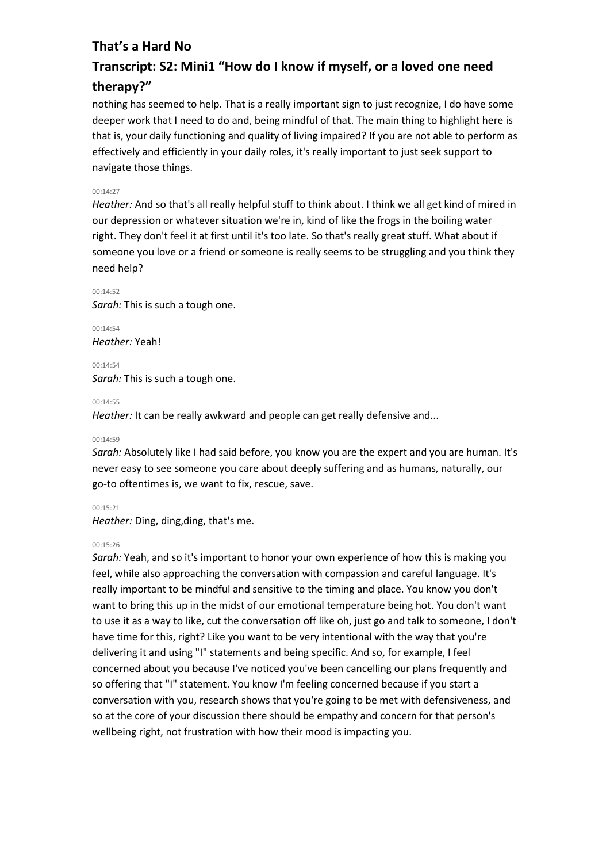# **Transcript: S2: Mini1 "How do I know if myself, or a loved one need therapy?"**

nothing has seemed to help. That is a really important sign to just recognize, I do have some deeper work that I need to do and, being mindful of that. The main thing to highlight here is that is, your daily functioning and quality of living impaired? If you are not able to perform as effectively and efficiently in your daily roles, it's really important to just seek support to navigate those things.

### 00:14:27

*Heather:* And so that's all really helpful stuff to think about. I think we all get kind of mired in our depression or whatever situation we're in, kind of like the frogs in the boiling water right. They don't feel it at first until it's too late. So that's really great stuff. What about if someone you love or a friend or someone is really seems to be struggling and you think they need help?

00:14:52 *Sarah:* This is such a tough one.

00:14:54 *Heather:* Yeah!

00:14:54 *Sarah:* This is such a tough one.

#### 00:14:55

*Heather:* It can be really awkward and people can get really defensive and...

00:14:59

*Sarah:* Absolutely like I had said before, you know you are the expert and you are human. It's never easy to see someone you care about deeply suffering and as humans, naturally, our go-to oftentimes is, we want to fix, rescue, save.

00:15:21

*Heather:* Ding, ding,ding, that's me.

#### 00:15:26

*Sarah:* Yeah, and so it's important to honor your own experience of how this is making you feel, while also approaching the conversation with compassion and careful language. It's really important to be mindful and sensitive to the timing and place. You know you don't want to bring this up in the midst of our emotional temperature being hot. You don't want to use it as a way to like, cut the conversation off like oh, just go and talk to someone, I don't have time for this, right? Like you want to be very intentional with the way that you're delivering it and using "I" statements and being specific. And so, for example, I feel concerned about you because I've noticed you've been cancelling our plans frequently and so offering that "I" statement. You know I'm feeling concerned because if you start a conversation with you, research shows that you're going to be met with defensiveness, and so at the core of your discussion there should be empathy and concern for that person's wellbeing right, not frustration with how their mood is impacting you.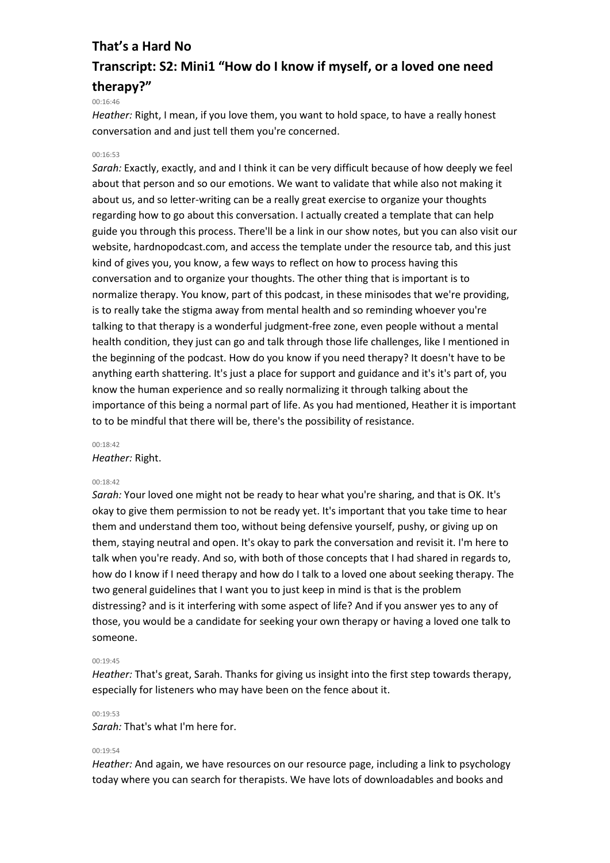# **Transcript: S2: Mini1 "How do I know if myself, or a loved one need therapy?"**

#### 00:16:46

*Heather:* Right, I mean, if you love them, you want to hold space, to have a really honest conversation and and just tell them you're concerned.

#### 00:16:53

*Sarah:* Exactly, exactly, and and I think it can be very difficult because of how deeply we feel about that person and so our emotions. We want to validate that while also not making it about us, and so letter-writing can be a really great exercise to organize your thoughts regarding how to go about this conversation. I actually created a template that can help guide you through this process. There'll be a link in our show notes, but you can also visit our website, hardnopodcast.com, and access the template under the resource tab, and this just kind of gives you, you know, a few ways to reflect on how to process having this conversation and to organize your thoughts. The other thing that is important is to normalize therapy. You know, part of this podcast, in these minisodes that we're providing, is to really take the stigma away from mental health and so reminding whoever you're talking to that therapy is a wonderful judgment-free zone, even people without a mental health condition, they just can go and talk through those life challenges, like I mentioned in the beginning of the podcast. How do you know if you need therapy? It doesn't have to be anything earth shattering. It's just a place for support and guidance and it's it's part of, you know the human experience and so really normalizing it through talking about the importance of this being a normal part of life. As you had mentioned, Heather it is important to to be mindful that there will be, there's the possibility of resistance.

#### 00:18:42

#### *Heather:* Right.

#### 00:18:42

*Sarah:* Your loved one might not be ready to hear what you're sharing, and that is OK. It's okay to give them permission to not be ready yet. It's important that you take time to hear them and understand them too, without being defensive yourself, pushy, or giving up on them, staying neutral and open. It's okay to park the conversation and revisit it. I'm here to talk when you're ready. And so, with both of those concepts that I had shared in regards to, how do I know if I need therapy and how do I talk to a loved one about seeking therapy. The two general guidelines that I want you to just keep in mind is that is the problem distressing? and is it interfering with some aspect of life? And if you answer yes to any of those, you would be a candidate for seeking your own therapy or having a loved one talk to someone.

#### 00:19:45

*Heather:* That's great, Sarah. Thanks for giving us insight into the first step towards therapy, especially for listeners who may have been on the fence about it.

#### 00:19:53

*Sarah:* That's what I'm here for.

#### $00.19.54$

*Heather:* And again, we have resources on our resource page, including a link to psychology today where you can search for therapists. We have lots of downloadables and books and